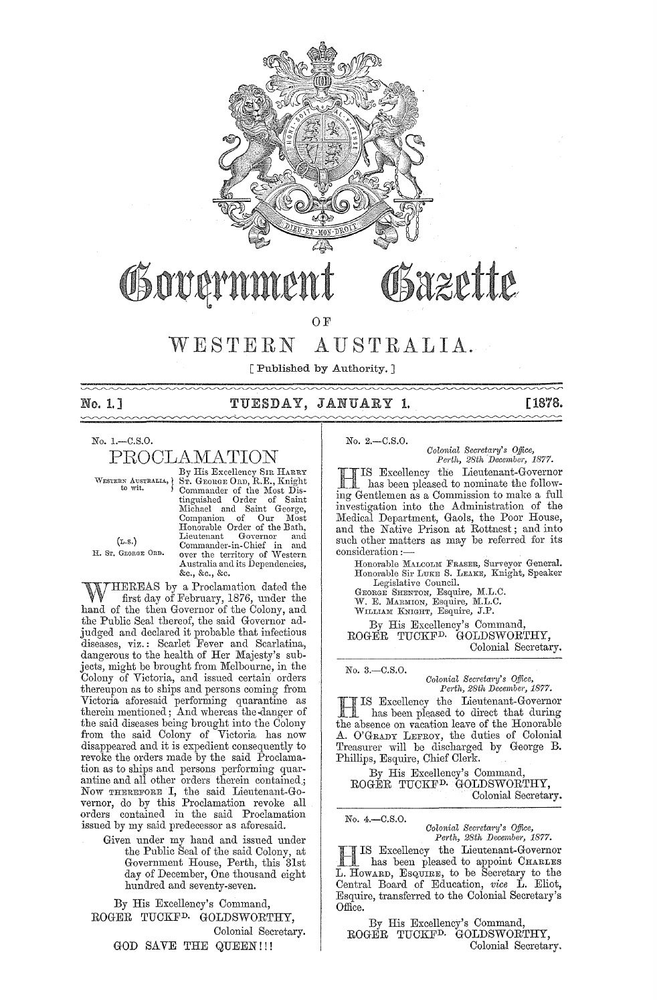

OF

# WESTERN AUSTRALIA.

[Published by Authority. ]

# No. 1.] TUESDAY, JANUARY 1. [1878.

 $\sim$ 

No. l.-C.S,O.

 $\operatorname{PROCLAMATION}\limits_{\text{By His Exceptioning Sh RARRY}}$ 

WESTERN AUSTRALIA, ST. GEORGE ORD, R.E., Knight<br>to wit. (Commander of the Most Dis-Commander of the Most Distinguished Order of Saint Michael and Saint George, Companion of Our Most Honorable Order of the Bath, Lieutenant Goyernor and (L.S.) Commander-in-Chief in and H. Sr. GEORGE ORD. over the territory of Western Australia and its Dependencies, &c., &c., &c.

HEREAS by a Proclamation dated the first day of February, 1876, under the hand of the then Governor of the Colony, and the Public Seal thereof, the said Governor adjudged and declared it probable that infectious diseases, viz.: Scarlet Fever and Scarlatina, dangerous to the health of Her Majesty's subjects, might be brought from Melbourne, in the Colony of Victoria, and issued certain orders thereupon as to ships and persons coming from Victoria aforesaid performing quarantine as therein mentioned; And whereas the-danger of the said diseases being brought into the Colony from the said Colony of Victoria has now disappeared and it is expedient consequently to revoke the orders made by the said Proclamation as to ships and persons performing quarantine and all other orders therein contained,; Now THEREFORE I, the said Lieutenant-Governor, do by this Proclamation revoke all orders contained in the said Proclamation issued by my said predecessor as aforesaid.

Given under my hand and issued under the Public Seal of the said Colony, at Government House, Perth, this 31st day of December, One thousand eight hundred and seventy-seven.

By His Excellency's Command, ROGER TUCKFD. GOLDSWORTHY, Colonial Secretary. GOD SAVE THE QUEEN!!!

No. 2.-C.S.O.

*Colonial Secretary's Office,*<br>Perth, 28th December, 1877.

IS Excellency the Lieutenant-Governor has been pleased to nominate the following Gentlemen as a Commission to make a full investigation into the Administration of the Medical Department, Gaols, the Poor House, and the Native Prison at Rottnest; and into such other matters as may be referred for its consideration  $:$ 

Honorable Manconn Fraser, Surveyor General.<br>Honorable Sir Luke S. Leake, Knight, Speaker Legislative Council.

GEORGE SHENTON, Esquire, M.L.C.<br>W. E. MARMION, Esquire, M.L.C.

WILLIAM KNIGHT, Esquire, J.P.

By His Excellency's Command, ROGER TUCKFD. GOLDSWORTHY,

Colonial Secretary.

*Colonial Secretary's Office,* Perth, 28th December, 1877.

HIS Excellency the Lieutenant-Governor . has been pleased to direct that during the absence on vacation leave of the Honorable A. O'GRADY LEFROY, the duties of Colonial Treasurer will be discharged by George B. Phillips, Esquire, Chief Clerk.

By His Excellency's Command, ROGER TUCKFD. GOLDSWORTHY, Colonial Secretary.

No. 4.-C.S.O.

No. 3.-C.S.O.

*Colonial Secretary's Office, Perth, 28th December, 1877.* 

IS Excellency the Lieutenant-Governor has been pleased to appoint CHARLES L. HOWARD, ESQUIRE, to be Secretary to the Central Board of Education, *vice* L. Eliot, Esquire, transferred to the Colonial Secretary's Office.

By His Excellency's Command, ROGER TUCKFD. GOLDSWORTHY, Colonial Secretary.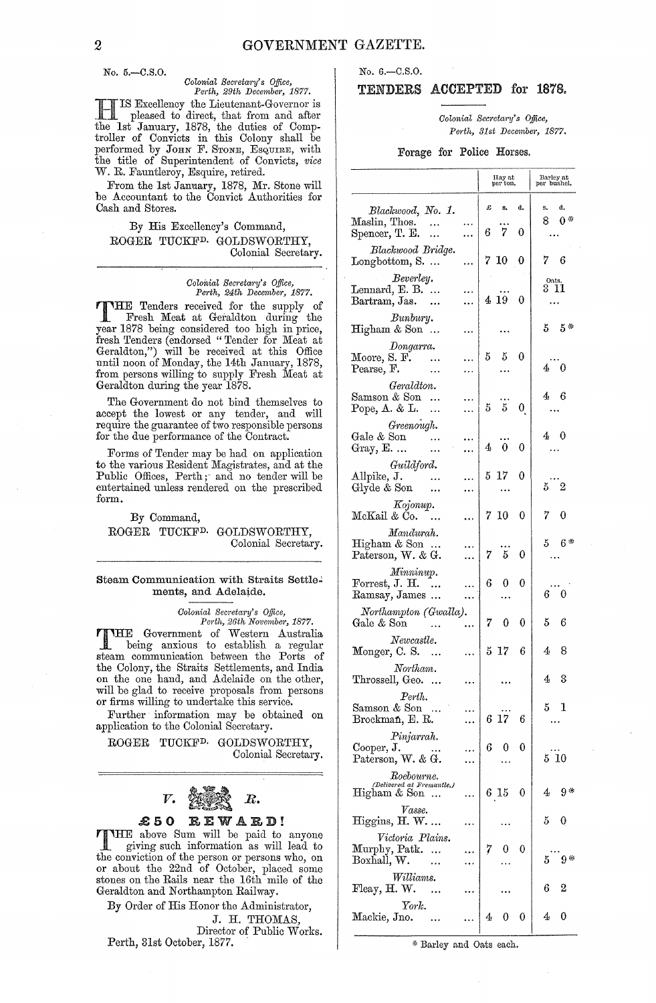No. 5 .- C.S.O.

# *Oolonial Secretary's Office, Perth, 29th December, 1877.*

H IS Excellency the Lieutenant-Governor is pleased to direct, that from and after the 1st January, 1878, the duties of Comptroller of Convicts in this Colony shall be performed by JOHN F. STONE, ESQUIRE, with the title of Superintendent of Convicts, *vice*  W. R. Fauntleroy, Esquire, retired.

From the 1st January, 1878, Mr. Stone will be Accountant to the Convict Authorities for Cash and Stores.

## By His Excellency's Command, ROGER TUCKFD. GOLDSWORTHY, Colonial Secretary.

#### *Coloitial Sem'etaj'y's Office, Perth, 24th December, 1877.*

THE Tenders received for the supply of Fresh Meat at Geraldton during the year 1878 being considered too high in price, fresh Tenders (endorsed "Tender for Meat at Geraldton,") will be received at this Office until noon of Monday, the 14th January, 1878, from persons willing to supply Fresh Meat at Geraldton during the year 1878.

The Government do not bind themselves to accept the lowest or any tender, and will require the guarantee of two responsible persons for the due performance of the Contract.

Forms of Tender may be had on application to the various Resident Magistrates, and at the Public Offices, Perth; and no tender will be entertained unless rendered on the prescribed form.

By Command, ROGER TUCKFD. GOLDSWORTHY, Colonial Secretary.

## Steam Communication with Straits Settle~ ments, and Adelaide.

 $Colomial$  Secretary's Office, *Perth, 26th November, 1877.* 

THE Government of Western Australia being anxious to establish a regular steam communication between the Ports of the Colony, the Straits Settlements, and India on the one hand, and Adelaide on the other, will be glad to receive proposals from persons or firms willing to undertake this service.

Further information may be obtained on application to the Colonial Secretary.

ROGER TUCKFD. GOLDSWORTHY, Colonial Secretary.



## £50 REWARD!

THE above Sum will be paid to anyone giving such information as will lead to the conviction of the person or persons who, on or about the 22nd of October, placed some stones on the Rails near the 16th mile of the Geraldton and Northampton Railway.

By Order of His Honor the Administrator,

J. H. THOMAS,

Director of Public Works. Perth, 31st October, 1877.

# No. 6.-0.8.0.

# TENDERS ACCEPTED for 1878,

*Colonial Secretary's Office, Perth, 31st Decembej', 1877.* 

## Forage for Police Horses.

|                                                                         | Hay at<br>per ton.                  | Barley at<br>per bushel. |
|-------------------------------------------------------------------------|-------------------------------------|--------------------------|
| Blackwood, No. 1.<br>Maslin, Thos.<br>$\sim$<br>Spencer, T. E.<br><br>  | £<br>s,<br>d.<br>7<br>6.<br>0       | d.<br>в.<br>0*<br>8.     |
| Blackwood Bridge.<br>Longbottom, S.                                     | 7 10<br>0                           | 76                       |
| Beverley.<br>Lennard, E. B.<br>Bartram, Jas.                            | 4 19<br>- 0                         | Oats.<br>3 11            |
| Bunbury.<br>Higham & Son                                                |                                     | $5\quad 5\quad$          |
| Dongarra.<br>Moore, S. F. $\ldots$<br>Pearse, F.                        | 5.<br>0<br>5                        | $4\quad 0$               |
| Geraldton.<br>Samson & Son<br>Pope, A. & L.<br>.                        | $\overline{5}$<br>5<br>$\mathbf{0}$ | 46                       |
| Greenough.<br>$\operatorname{Gale}\nolimits \&$ Son<br><br>Gray, E.<br> | 0<br>0<br>4                         | 40                       |
| Guildford.<br>$\lambda$ llpike, J.<br>$\ddotsc$<br>Glyde & Son<br>      | $\theta$<br>17<br>5.                | $5\quad 2$               |
| Kojonup.<br>McKail & Co.                                                | 7 10<br>0                           | 7<br>0                   |
| Mandurah.<br>Higham & Son<br>Paterson, W. & G.                          | $5^{\circ}$<br>7.<br>0              | 5<br>$6*$                |
| Minninup.<br>Forrest, J. H. $\ldots$<br>Ramsay, James                   | 6<br>0<br>0                         | 60                       |
| Northampton (Gwalla).<br>Gale & Son                                     | 7<br>0<br>0                         | 5<br>6                   |
| Newcastle.<br>Monger, C. S.<br>                                         | 5 17<br>6                           | 8<br>4                   |
| Northam.<br>Throssell, Geo.<br>$\ddots$                                 |                                     | 3<br>4                   |
| Perth.<br>Samson & Son<br>$\ldots$<br>Brockman, E. R.                   | 6 17<br>6                           | 5<br>1                   |
| Pinjarrah.<br>Cooper, J.<br>Paterson, W. & G.                           | 6<br>0                              | 510                      |
| $\emph{Roebourne.}$<br>(Delivered at Fremantle.)<br>Higham & Son        | 6 15<br>0                           | 9*<br>4                  |
| Vasse.<br>Higgins, H. W.<br>.                                           |                                     | 5<br>0                   |
| Victoria Plains.<br>Murphy, Patk.<br>Boxhall, W.                        | 7<br>0                              | 9*<br>5                  |
| Williams.<br>Fleay, H. W.<br>$\ddotsc$                                  |                                     | 6<br>2                   |
| York.<br>Mackie, Jno.                                                   | 0<br>4<br>0                         | 4<br>0                   |

\* Barley and Oats each.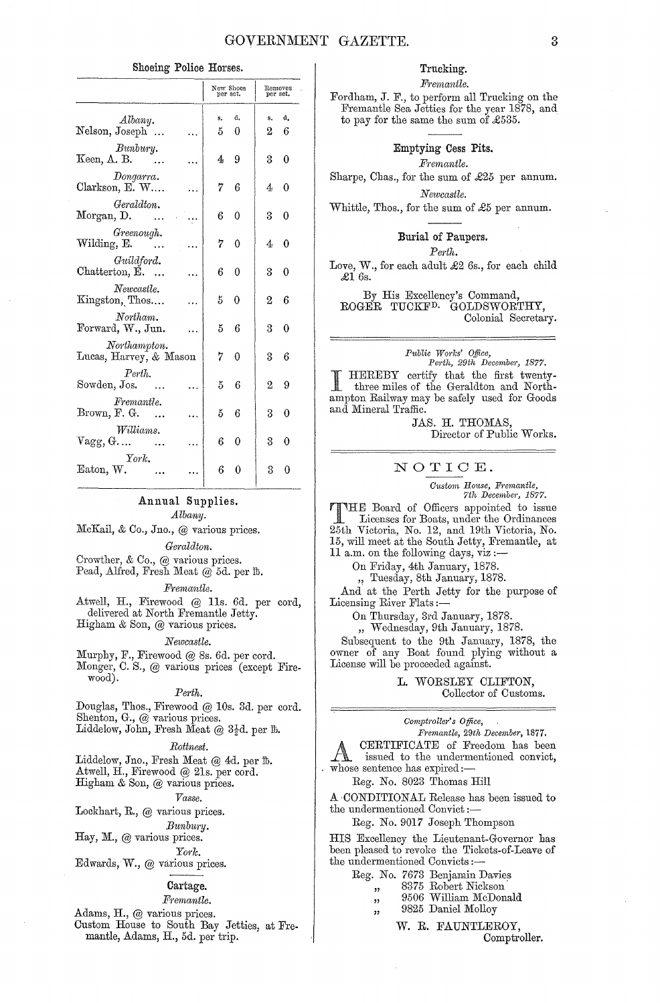### Shoeing Police Horses.

|                                                                    | New Shoes<br>per set. |                | per set.     | Removes  |
|--------------------------------------------------------------------|-----------------------|----------------|--------------|----------|
| Albany.<br>Nelson, Joseph                                          | s.<br>5               | d.<br>$\theta$ | s.<br>2      | đ,<br>6  |
| Bunbury.<br>Keen, A. B.<br>$\sim$ $\sim$                           | 4                     | 9              | 3            | $\theta$ |
| Dongarra.<br>Clarkson, E. W                                        | 7.                    | 6              | 4.           | 0        |
| Geraldton.<br>Morgan, D.                                           | 6.                    | 0              | 3            | 0        |
| Greenough.<br>Wilding, E.                                          | 7                     | 0              | 4            | 0        |
| Guildford.<br>Chatterton, E.                                       | 6                     | 0              | $\mathbf{R}$ | 0        |
| Newcastle.<br>Kingston, Thos                                       | $5 -$                 | 0              | 2            | 6        |
| Northam.<br>Forward, W., Jun.                                      | 5.                    | 6              | $^{3}$       | 0        |
| Northampton.<br>Lucas, Harvey, & Mason                             | 7                     | 0              | $\mathbf{S}$ | 6        |
| Perth.<br>Sowden, Jos.                                             | $5 -$                 | 6              | 2            | 9        |
| Fremantle.<br>Brown, $F. G.$                                       | $5 -$                 | 6              | 3            | 0        |
| Williams.<br>$\mathrm{Vagg}, \mathrm{G} \ldots \quad \quad \ldots$ | 6                     | $\theta$       | 3            | 0        |
| York.<br>Eaton, W.                                                 | 6                     | 0              | 3            | 0        |

# Annual Supplies.

# Albany.

McKail, & Co., Jno., @ various prices. Geraldton.

Crowther, & Co., @ various prices.

Pead, Alfred, Fresh Meat @ 5d. per fb.

# Fremantle.

Atwell, H., Firewood @ 11s. 6d. per cord, delivered at North Fremantle Jetty. Higham & Son, @ various prices.

# Newcastle.

Murphy, F., Firewood @ 8s. 6d. per cord. Monger, C. S., @ various prices (except Firewood).

#### $Perth.$

Douglas, Thos., Firewood @ 10s. 3d. per cord. Shenton, G., @ various prices.

Liddelow, John, Fresh Meat @  $3\frac{1}{2}d$ , per  $\mathbb{B}$ .

#### Rottnest.

Liddelow, Jno., Fresh Meat @ 4d. per fb. Atwell, H., Firewood @ 21s. per cord. Higham & Son, @ various prices.

Vasse.

## Lockhart, R.,  $\omega$  various prices.

Bunbury.

Hay, M., @ various prices. York.

Edwards, W., @ various prices.

#### Cartage.

# Fremantle.

Adams, H., @ various prices.

Custom House to South Bay Jetties, at Fremantle, Adams, H., 5d. per trip.

# Trucking.

Fremantle.

Fordham, J. F., to perform all Trucking on the Fremantle Sea Jetties for the year 1878, and to pay for the same the sum of  $\pounds 535$ .

> Emptying Cess Pits. Fremantle.

Sharpe, Chas., for the sum of £25 per annum.

Newcastle.

Whittle, Thos., for the sum of £5 per annum.

## Burial of Paupers.

Perth.

Love, W., for each adult £2 6s., for each child  $\pounds16s.$ 

By His Excellency's Command, ROGER TUCKF<sup>D.</sup> GOLDSWORTHY, Colonial Secretary.

Public Works' Office,<br>Perth, 29th December, 1877.

HEREBY certify that the first twentythree miles of the Geraldton and Northampton Railway may be safely used for Goods and Mineral Traffic.

> JAS. H. THOMAS, Director of Public Works.

## NOTICE.

Custom House, Fremantle,<br>7th December, 1877.

THE Board of Officers appointed to issue Licenses for Boats, under the Ordinances 25th Victoria, No. 12, and 19th Victoria, No. 15, will meet at the South Jetty, Fremantle, at 11 a.m. on the following days, viz:-

On Friday, 4th January, 1878.

" Tuesday, 8th January, 1878.

And at the Perth Jetty for the purpose of Licensing River Flats:-

On Thursday, 3rd January, 1878.

" Wednesday, 9th January, 1878.

Subsequent to the 9th January, 1878, the owner of any Boat found plying without a License will be proceeded against.

> L. WORSLEY CLIFTON, Collector of Customs.

Comptroller's Office,

Fremantle, 29th December, 1877.

CERTIFICATE of Freedom has been issued to the undermentioned convict, whose sentence has expired:-

Reg. No. 8023 Thomas Hill

A CONDITIONAL Release has been issued to the undermentioned Convict :-

Reg. No. 9017 Joseph Thompson

HIS Excellency the Lieutenant-Governor has been pleased to revoke the Tickets-of-Leave of the undermentioned Convicts :-

|     | Reg. No. 7673 Benjamin Davies |
|-----|-------------------------------|
| 72  | 8375 Robert Nickson           |
| 5.2 | 9506 William McDonald         |
|     | 9825 Daniel Molloy            |

W. R. FAUNTLEROY,

Comptroller.